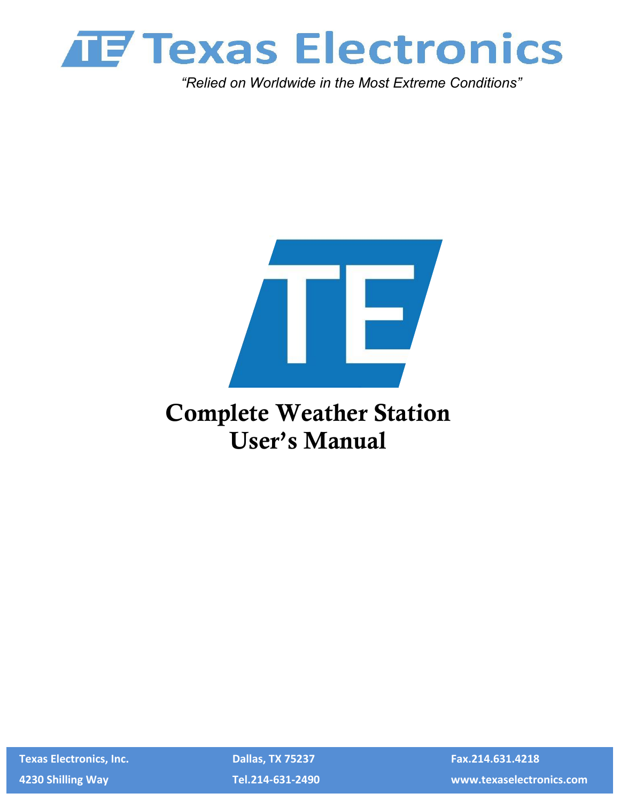

*"Relied on Worldwide in the Most Extreme Conditions"*



# **Complete Weather Station User's Manual**

 **Texas Electronics, Inc. Dallas, TX 75237 Fax.214.631.4218**

 **4230 Shilling Way Tel.214-631-2490 www.texaselectronics.com**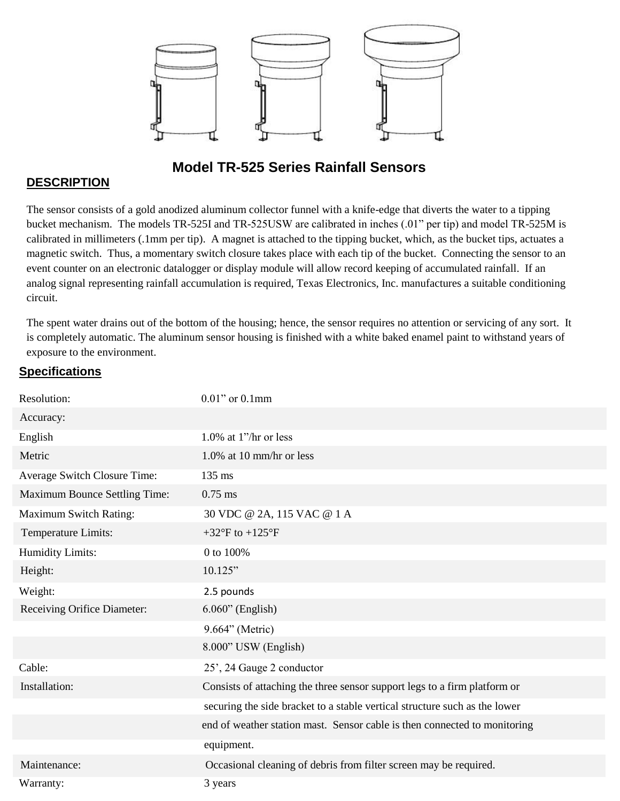

### **Model TR-525 Series Rainfall Sensors**

#### **DESCRIPTION**

The sensor consists of a gold anodized aluminum collector funnel with a knife-edge that diverts the water to a tipping bucket mechanism. The models TR-525I and TR-525USW are calibrated in inches (.01" per tip) and model TR-525M is calibrated in millimeters (.1mm per tip). A magnet is attached to the tipping bucket, which, as the bucket tips, actuates a magnetic switch. Thus, a momentary switch closure takes place with each tip of the bucket. Connecting the sensor to an event counter on an electronic datalogger or display module will allow record keeping of accumulated rainfall. If an analog signal representing rainfall accumulation is required, Texas Electronics, Inc. manufactures a suitable conditioning circuit.

The spent water drains out of the bottom of the housing; hence, the sensor requires no attention or servicing of any sort. It is completely automatic. The aluminum sensor housing is finished with a white baked enamel paint to withstand years of exposure to the environment.

#### **Specifications**

| Resolution:                          | $0.01$ " or $0.1$ mm                                                       |
|--------------------------------------|----------------------------------------------------------------------------|
| Accuracy:                            |                                                                            |
| English                              | 1.0% at $1$ "/hr or less                                                   |
| Metric                               | $1.0\%$ at 10 mm/hr or less                                                |
| Average Switch Closure Time:         | 135 ms                                                                     |
| <b>Maximum Bounce Settling Time:</b> | $0.75$ ms                                                                  |
| <b>Maximum Switch Rating:</b>        | 30 VDC @ 2A, 115 VAC @ 1 A                                                 |
| Temperature Limits:                  | +32 $\mathrm{^{\circ}F}$ to +125 $\mathrm{^{\circ}F}$                      |
| <b>Humidity Limits:</b>              | 0 to 100%                                                                  |
| Height:                              | 10.125"                                                                    |
| Weight:                              | 2.5 pounds                                                                 |
| Receiving Orifice Diameter:          | $6.060$ " (English)                                                        |
|                                      | 9.664" (Metric)                                                            |
|                                      | 8.000" USW (English)                                                       |
| Cable:                               | 25', 24 Gauge 2 conductor                                                  |
| Installation:                        | Consists of attaching the three sensor support legs to a firm platform or  |
|                                      | securing the side bracket to a stable vertical structure such as the lower |
|                                      | end of weather station mast. Sensor cable is then connected to monitoring  |
|                                      | equipment.                                                                 |
| Maintenance:                         | Occasional cleaning of debris from filter screen may be required.          |
| Warranty:                            | 3 years                                                                    |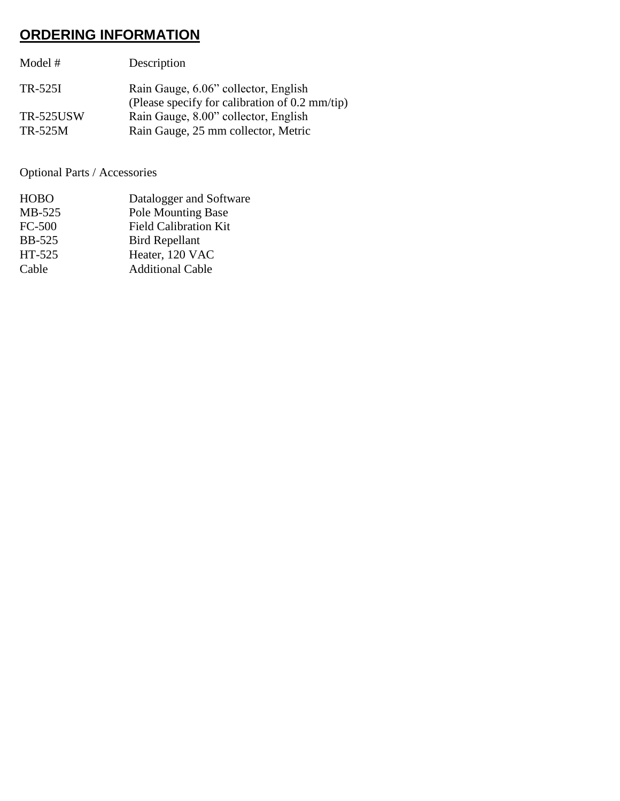# **ORDERING INFORMATION**

| Model #          | Description                                                                            |
|------------------|----------------------------------------------------------------------------------------|
| TR-525I          | Rain Gauge, 6.06" collector, English<br>(Please specify for calibration of 0.2 mm/tip) |
| <b>TR-525USW</b> | Rain Gauge, 8.00" collector, English                                                   |
| TR-525M          | Rain Gauge, 25 mm collector, Metric                                                    |

Optional Parts / Accessories

| Datalogger and Software      |
|------------------------------|
| <b>Pole Mounting Base</b>    |
| <b>Field Calibration Kit</b> |
| <b>Bird Repellant</b>        |
| Heater, 120 VAC              |
| <b>Additional Cable</b>      |
|                              |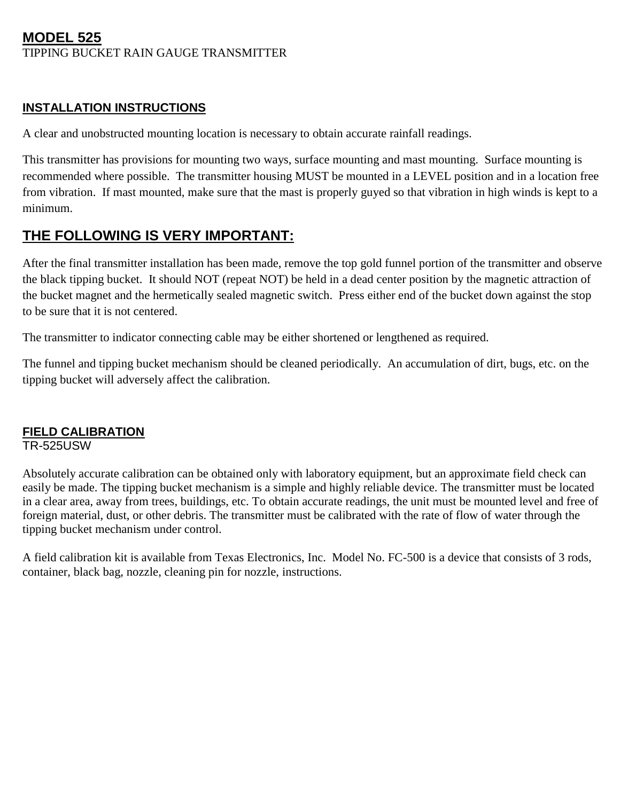#### **MODEL 525**  TIPPING BUCKET RAIN GAUGE TRANSMITTER

#### **INSTALLATION INSTRUCTIONS**

A clear and unobstructed mounting location is necessary to obtain accurate rainfall readings.

This transmitter has provisions for mounting two ways, surface mounting and mast mounting. Surface mounting is recommended where possible. The transmitter housing MUST be mounted in a LEVEL position and in a location free from vibration. If mast mounted, make sure that the mast is properly guyed so that vibration in high winds is kept to a minimum.

### **THE FOLLOWING IS VERY IMPORTANT:**

After the final transmitter installation has been made, remove the top gold funnel portion of the transmitter and observe the black tipping bucket. It should NOT (repeat NOT) be held in a dead center position by the magnetic attraction of the bucket magnet and the hermetically sealed magnetic switch. Press either end of the bucket down against the stop to be sure that it is not centered.

The transmitter to indicator connecting cable may be either shortened or lengthened as required.

The funnel and tipping bucket mechanism should be cleaned periodically. An accumulation of dirt, bugs, etc. on the tipping bucket will adversely affect the calibration.

#### **FIELD CALIBRATION**

TR-525USW

Absolutely accurate calibration can be obtained only with laboratory equipment, but an approximate field check can easily be made. The tipping bucket mechanism is a simple and highly reliable device. The transmitter must be located in a clear area, away from trees, buildings, etc. To obtain accurate readings, the unit must be mounted level and free of foreign material, dust, or other debris. The transmitter must be calibrated with the rate of flow of water through the tipping bucket mechanism under control.

A field calibration kit is available from Texas Electronics, Inc. Model No. FC-500 is a device that consists of 3 rods, container, black bag, nozzle, cleaning pin for nozzle, instructions.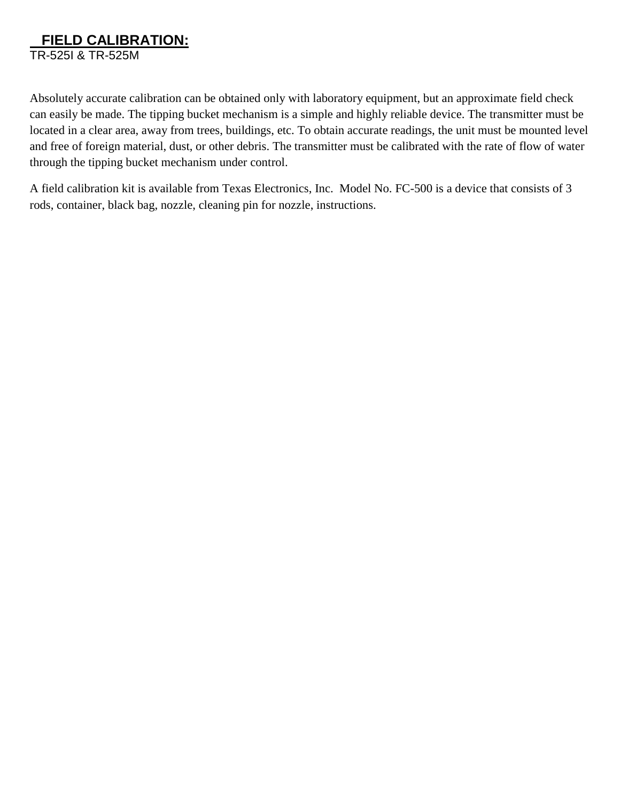## **FIELD CALIBRATION:**

TR-525I & TR-525M

Absolutely accurate calibration can be obtained only with laboratory equipment, but an approximate field check can easily be made. The tipping bucket mechanism is a simple and highly reliable device. The transmitter must be located in a clear area, away from trees, buildings, etc. To obtain accurate readings, the unit must be mounted level and free of foreign material, dust, or other debris. The transmitter must be calibrated with the rate of flow of water through the tipping bucket mechanism under control.

A field calibration kit is available from Texas Electronics, Inc. Model No. FC-500 is a device that consists of 3 rods, container, black bag, nozzle, cleaning pin for nozzle, instructions.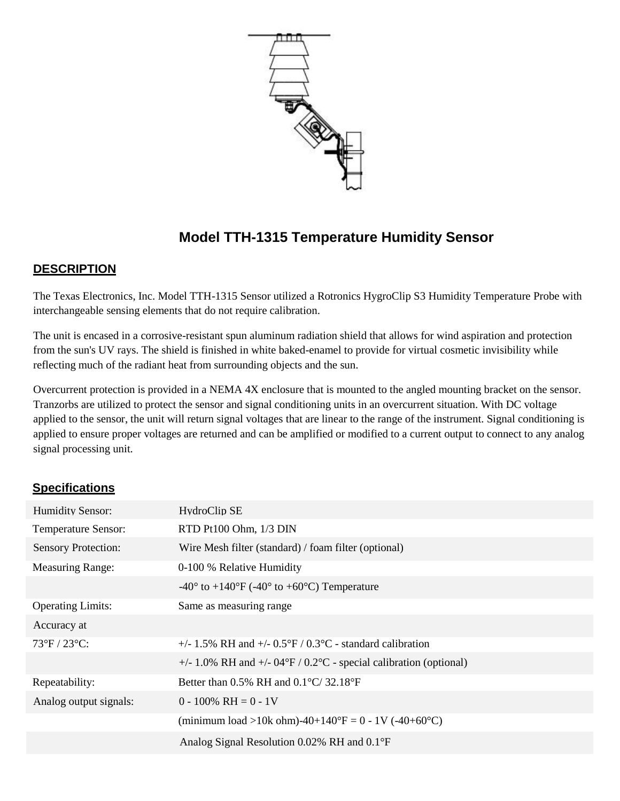

# **Model TTH-1315 Temperature Humidity Sensor**

#### **DESCRIPTION**

The Texas Electronics, Inc. Model TTH-1315 Sensor utilized a Rotronics HygroClip S3 Humidity Temperature Probe with interchangeable sensing elements that do not require calibration.

The unit is encased in a corrosive-resistant spun aluminum radiation shield that allows for wind aspiration and protection from the sun's UV rays. The shield is finished in white baked-enamel to provide for virtual cosmetic invisibility while reflecting much of the radiant heat from surrounding objects and the sun.

Overcurrent protection is provided in a NEMA 4X enclosure that is mounted to the angled mounting bracket on the sensor. Tranzorbs are utilized to protect the sensor and signal conditioning units in an overcurrent situation. With DC voltage applied to the sensor, the unit will return signal voltages that are linear to the range of the instrument. Signal conditioning is applied to ensure proper voltages are returned and can be amplified or modified to a current output to connect to any analog signal processing unit.

#### **Specifications**

| <b>Humidity Sensor:</b>    | HydroClip SE                                                                      |
|----------------------------|-----------------------------------------------------------------------------------|
| <b>Temperature Sensor:</b> | RTD Pt100 Ohm, 1/3 DIN                                                            |
| <b>Sensory Protection:</b> | Wire Mesh filter (standard) / foam filter (optional)                              |
| <b>Measuring Range:</b>    | 0-100 % Relative Humidity                                                         |
|                            | $-40^{\circ}$ to $+140^{\circ}$ F ( $-40^{\circ}$ to $+60^{\circ}$ C) Temperature |
| <b>Operating Limits:</b>   | Same as measuring range                                                           |
| Accuracy at                |                                                                                   |
| 73°F / 23°C:               | +/- 1.5% RH and +/- $0.5^{\circ}F / 0.3^{\circ}C$ - standard calibration          |
|                            | +/- 1.0% RH and +/- $04^{\circ}F / 0.2^{\circ}C$ - special calibration (optional) |
| Repeatability:             | Better than 0.5% RH and $0.1^{\circ}$ C/ 32.18°F                                  |
| Analog output signals:     | $0 - 100\% \text{ RH} = 0 - 1\text{V}$                                            |
|                            | (minimum load >10k ohm)-40+140°F = 0 - 1V (-40+60°C)                              |
|                            | Analog Signal Resolution 0.02% RH and 0.1°F                                       |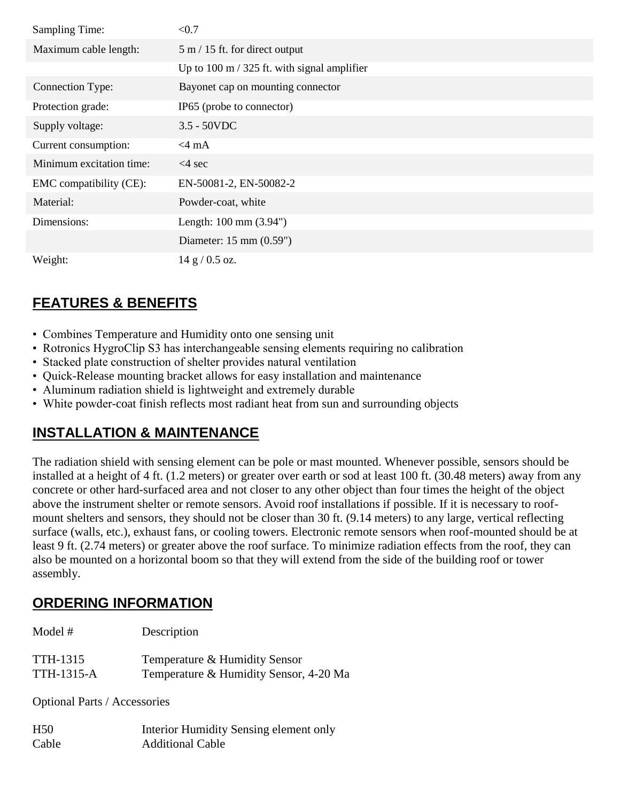| <b>Sampling Time:</b>    | < 0.7                                                 |
|--------------------------|-------------------------------------------------------|
| Maximum cable length:    | $5 \text{ m} / 15$ ft. for direct output              |
|                          | Up to $100 \text{ m}$ / 325 ft. with signal amplifier |
| Connection Type:         | Bayonet cap on mounting connector                     |
| Protection grade:        | IP65 (probe to connector)                             |
| Supply voltage:          | $3.5 - 50$ VDC                                        |
| Current consumption:     | $<$ 4 mA                                              |
| Minimum excitation time: | $< 4$ sec                                             |
| EMC compatibility (CE):  | EN-50081-2, EN-50082-2                                |
| Material:                | Powder-coat, white                                    |
| Dimensions:              | Length: $100 \text{ mm} (3.94^{\circ})$               |
|                          | Diameter: $15 \text{ mm} (0.59^{\circ})$              |
| Weight:                  | 14 g / 0.5 oz.                                        |

- Combines Temperature and Humidity onto one sensing unit
- Rotronics HygroClip S3 has interchangeable sensing elements requiring no calibration
- Stacked plate construction of shelter provides natural ventilation
- Quick-Release mounting bracket allows for easy installation and maintenance
- Aluminum radiation shield is lightweight and extremely durable
- White powder-coat finish reflects most radiant heat from sun and surrounding objects

# **INSTALLATION & MAINTENANCE**

The radiation shield with sensing element can be pole or mast mounted. Whenever possible, sensors should be installed at a height of 4 ft. (1.2 meters) or greater over earth or sod at least 100 ft. (30.48 meters) away from any concrete or other hard-surfaced area and not closer to any other object than four times the height of the object above the instrument shelter or remote sensors. Avoid roof installations if possible. If it is necessary to roofmount shelters and sensors, they should not be closer than 30 ft. (9.14 meters) to any large, vertical reflecting surface (walls, etc.), exhaust fans, or cooling towers. Electronic remote sensors when roof-mounted should be at least 9 ft. (2.74 meters) or greater above the roof surface. To minimize radiation effects from the roof, they can also be mounted on a horizontal boom so that they will extend from the side of the building roof or tower assembly.

# **ORDERING INFORMATION**

| Model #    | Description                            |
|------------|----------------------------------------|
| TTH-1315   | Temperature & Humidity Sensor          |
| TTH-1315-A | Temperature & Humidity Sensor, 4-20 Ma |

Optional Parts / Accessories

| H <sub>50</sub> | Interior Humidity Sensing element only |
|-----------------|----------------------------------------|
| Cable           | <b>Additional Cable</b>                |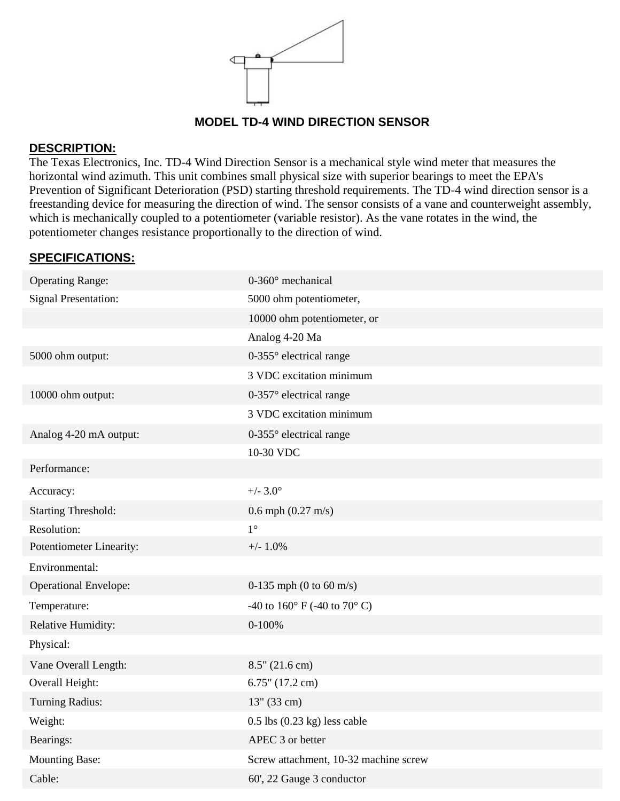

#### **MODEL TD-4 WIND DIRECTION SENSOR**

#### **DESCRIPTION:**

The Texas Electronics, Inc. TD-4 Wind Direction Sensor is a mechanical style wind meter that measures the horizontal wind azimuth. This unit combines small physical size with superior bearings to meet the EPA's Prevention of Significant Deterioration (PSD) starting threshold requirements. The TD-4 wind direction sensor is a freestanding device for measuring the direction of wind. The sensor consists of a vane and counterweight assembly, which is mechanically coupled to a potentiometer (variable resistor). As the vane rotates in the wind, the potentiometer changes resistance proportionally to the direction of wind.

#### **SPECIFICATIONS:**

| <b>Operating Range:</b>      | 0-360° mechanical                                |
|------------------------------|--------------------------------------------------|
| <b>Signal Presentation:</b>  | 5000 ohm potentiometer,                          |
|                              | 10000 ohm potentiometer, or                      |
|                              | Analog 4-20 Ma                                   |
| 5000 ohm output:             | $0-355^\circ$ electrical range                   |
|                              | 3 VDC excitation minimum                         |
| 10000 ohm output:            | 0-357° electrical range                          |
|                              | 3 VDC excitation minimum                         |
| Analog 4-20 mA output:       | $0-355^\circ$ electrical range                   |
|                              | 10-30 VDC                                        |
| Performance:                 |                                                  |
| Accuracy:                    | $+/- 3.0^{\circ}$                                |
| <b>Starting Threshold:</b>   | $0.6$ mph $(0.27 \text{ m/s})$                   |
| Resolution:                  | $1^{\circ}$                                      |
| Potentiometer Linearity:     | $+/- 1.0%$                                       |
| Environmental:               |                                                  |
| <b>Operational Envelope:</b> | 0-135 mph (0 to 60 m/s)                          |
| Temperature:                 | -40 to 160 $^{\circ}$ F (-40 to 70 $^{\circ}$ C) |
| Relative Humidity:           | $0-100%$                                         |
| Physical:                    |                                                  |
| Vane Overall Length:         | $8.5"$ (21.6 cm)                                 |
| Overall Height:              | $6.75$ " (17.2 cm)                               |
| <b>Turning Radius:</b>       | $13''$ (33 cm)                                   |
| Weight:                      | $0.5$ lbs $(0.23$ kg) less cable                 |
| Bearings:                    | APEC 3 or better                                 |
| <b>Mounting Base:</b>        | Screw attachment, 10-32 machine screw            |
| Cable:                       | 60', 22 Gauge 3 conductor                        |
|                              |                                                  |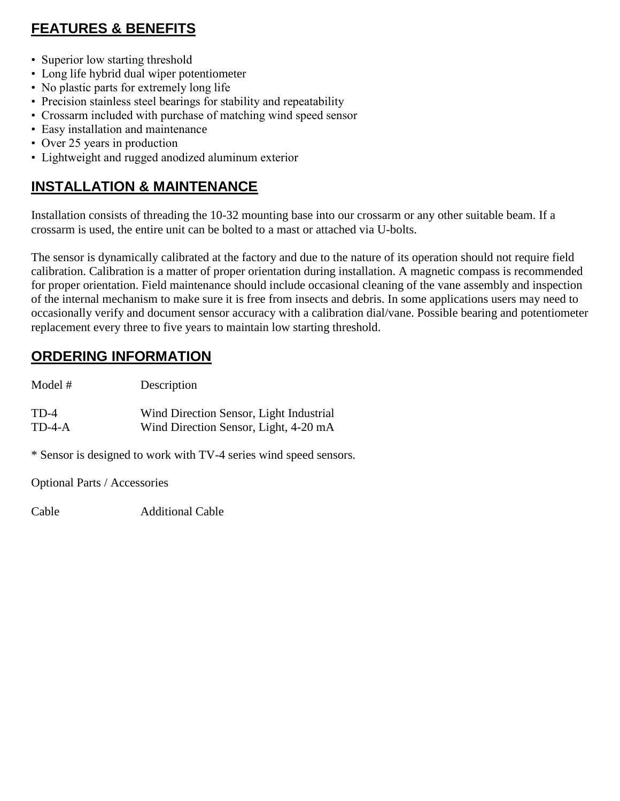- Superior low starting threshold
- Long life hybrid dual wiper potentiometer
- No plastic parts for extremely long life
- Precision stainless steel bearings for stability and repeatability
- Crossarm included with purchase of matching wind speed sensor
- Easy installation and maintenance
- Over 25 years in production
- Lightweight and rugged anodized aluminum exterior

### **INSTALLATION & MAINTENANCE**

Installation consists of threading the 10-32 mounting base into our crossarm or any other suitable beam. If a crossarm is used, the entire unit can be bolted to a mast or attached via U-bolts.

The sensor is dynamically calibrated at the factory and due to the nature of its operation should not require field calibration. Calibration is a matter of proper orientation during installation. A magnetic compass is recommended for proper orientation. Field maintenance should include occasional cleaning of the vane assembly and inspection of the internal mechanism to make sure it is free from insects and debris. In some applications users may need to occasionally verify and document sensor accuracy with a calibration dial/vane. Possible bearing and potentiometer replacement every three to five years to maintain low starting threshold.

### **ORDERING INFORMATION**

| Model # | Description                             |
|---------|-----------------------------------------|
| TD-4    | Wind Direction Sensor, Light Industrial |
| TD-4-A  | Wind Direction Sensor, Light, 4-20 mA   |

\* Sensor is designed to work with TV-4 series wind speed sensors.

Optional Parts / Accessories

Cable Additional Cable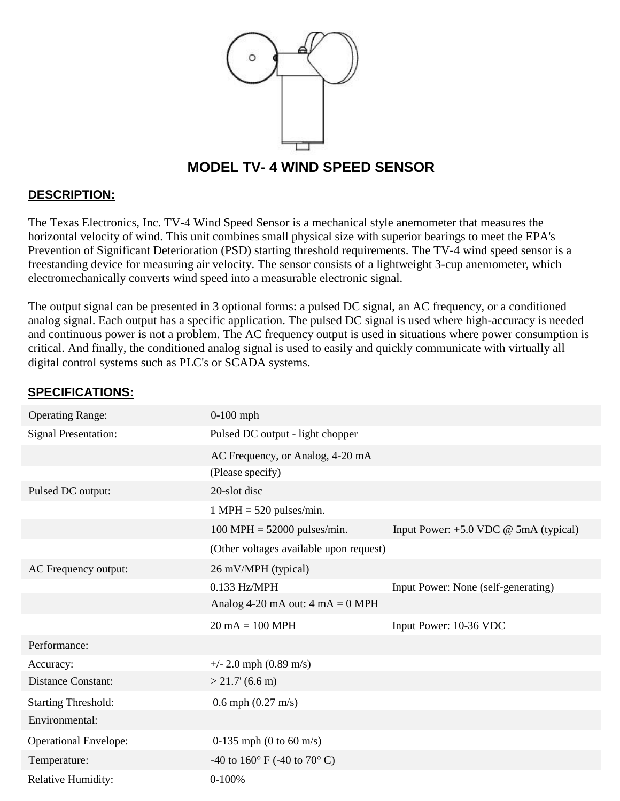

#### **MODEL TV- 4 WIND SPEED SENSOR**

#### **DESCRIPTION:**

The Texas Electronics, Inc. TV-4 Wind Speed Sensor is a mechanical style anemometer that measures the horizontal velocity of wind. This unit combines small physical size with superior bearings to meet the EPA's Prevention of Significant Deterioration (PSD) starting threshold requirements. The TV-4 wind speed sensor is a freestanding device for measuring air velocity. The sensor consists of a lightweight 3-cup anemometer, which electromechanically converts wind speed into a measurable electronic signal.

The output signal can be presented in 3 optional forms: a pulsed DC signal, an AC frequency, or a conditioned analog signal. Each output has a specific application. The pulsed DC signal is used where high-accuracy is needed and continuous power is not a problem. The AC frequency output is used in situations where power consumption is critical. And finally, the conditioned analog signal is used to easily and quickly communicate with virtually all digital control systems such as PLC's or SCADA systems.

#### **SPECIFICATIONS:**

| <b>Operating Range:</b>      | $0-100$ mph                                        |                                         |
|------------------------------|----------------------------------------------------|-----------------------------------------|
| <b>Signal Presentation:</b>  | Pulsed DC output - light chopper                   |                                         |
|                              | AC Frequency, or Analog, 4-20 mA                   |                                         |
|                              | (Please specify)                                   |                                         |
| Pulsed DC output:            | 20-slot disc                                       |                                         |
|                              | $1 \text{ MPH} = 520 \text{ pulses/min}.$          |                                         |
|                              | $100 \text{ MPH} = 52000 \text{ pulses/min}.$      | Input Power: $+5.0$ VDC @ 5mA (typical) |
|                              | (Other voltages available upon request)            |                                         |
| AC Frequency output:         | 26 mV/MPH (typical)                                |                                         |
|                              | 0.133 Hz/MPH                                       | Input Power: None (self-generating)     |
|                              | Analog 4-20 mA out: $4 \text{ mA} = 0 \text{ MPH}$ |                                         |
|                              | $20 \text{ mA} = 100 \text{ MPH}$                  | Input Power: 10-36 VDC                  |
| Performance:                 |                                                    |                                         |
| Accuracy:                    | $+/- 2.0$ mph (0.89 m/s)                           |                                         |
| <b>Distance Constant:</b>    | $>$ 21.7' (6.6 m)                                  |                                         |
| <b>Starting Threshold:</b>   | $0.6$ mph $(0.27 \text{ m/s})$                     |                                         |
| Environmental:               |                                                    |                                         |
| <b>Operational Envelope:</b> | 0-135 mph (0 to 60 m/s)                            |                                         |
| Temperature:                 | -40 to 160 $\degree$ F (-40 to 70 $\degree$ C)     |                                         |
| <b>Relative Humidity:</b>    | $0-100%$                                           |                                         |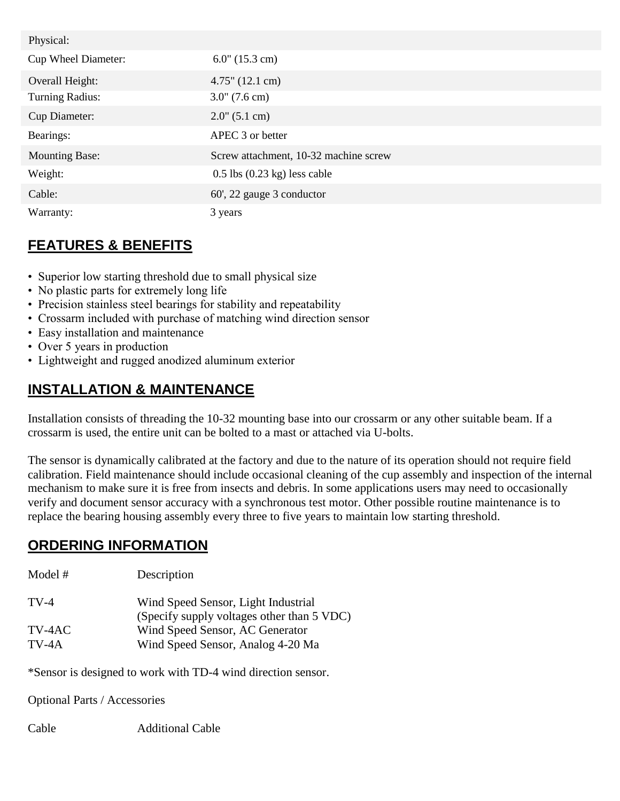| Physical:              |                                          |
|------------------------|------------------------------------------|
| Cup Wheel Diameter:    | $6.0$ " (15.3 cm)                        |
| Overall Height:        | $4.75$ " (12.1 cm)                       |
| <b>Turning Radius:</b> | $3.0^{\circ}$ (7.6 cm)                   |
| <b>Cup Diameter:</b>   | $2.0$ " (5.1 cm)                         |
| Bearings:              | APEC 3 or better                         |
| <b>Mounting Base:</b>  | Screw attachment, 10-32 machine screw    |
| Weight:                | $0.5$ lbs $(0.23 \text{ kg})$ less cable |
| Cable:                 | 60', 22 gauge 3 conductor                |
| Warranty:              | 3 years                                  |

- Superior low starting threshold due to small physical size
- No plastic parts for extremely long life
- Precision stainless steel bearings for stability and repeatability
- Crossarm included with purchase of matching wind direction sensor
- Easy installation and maintenance
- Over 5 years in production
- Lightweight and rugged anodized aluminum exterior

### **INSTALLATION & MAINTENANCE**

Installation consists of threading the 10-32 mounting base into our crossarm or any other suitable beam. If a crossarm is used, the entire unit can be bolted to a mast or attached via U-bolts.

The sensor is dynamically calibrated at the factory and due to the nature of its operation should not require field calibration. Field maintenance should include occasional cleaning of the cup assembly and inspection of the internal mechanism to make sure it is free from insects and debris. In some applications users may need to occasionally verify and document sensor accuracy with a synchronous test motor. Other possible routine maintenance is to replace the bearing housing assembly every three to five years to maintain low starting threshold.

### **ORDERING INFORMATION**

| Model #           | Description                                                                       |
|-------------------|-----------------------------------------------------------------------------------|
| $TV-4$            | Wind Speed Sensor, Light Industrial<br>(Specify supply voltages other than 5 VDC) |
| TV-4AC<br>$TV-4A$ | Wind Speed Sensor, AC Generator<br>Wind Speed Sensor, Analog 4-20 Ma              |

\*Sensor is designed to work with TD-4 wind direction sensor.

Optional Parts / Accessories

Cable Additional Cable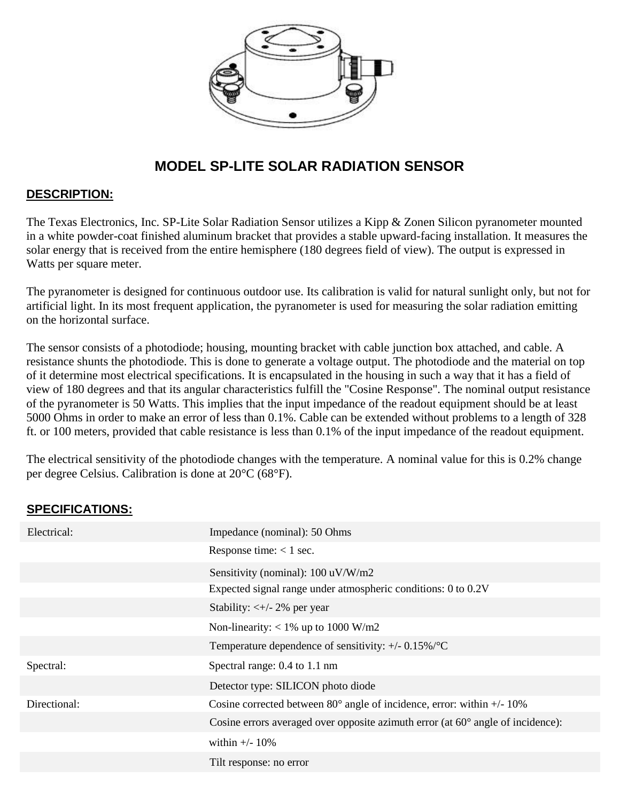

## **MODEL SP-LITE SOLAR RADIATION SENSOR**

#### **DESCRIPTION:**

The Texas Electronics, Inc. SP-Lite Solar Radiation Sensor utilizes a Kipp & Zonen Silicon pyranometer mounted in a white powder-coat finished aluminum bracket that provides a stable upward-facing installation. It measures the solar energy that is received from the entire hemisphere (180 degrees field of view). The output is expressed in Watts per square meter.

The pyranometer is designed for continuous outdoor use. Its calibration is valid for natural sunlight only, but not for artificial light. In its most frequent application, the pyranometer is used for measuring the solar radiation emitting on the horizontal surface.

The sensor consists of a photodiode; housing, mounting bracket with cable junction box attached, and cable. A resistance shunts the photodiode. This is done to generate a voltage output. The photodiode and the material on top of it determine most electrical specifications. It is encapsulated in the housing in such a way that it has a field of view of 180 degrees and that its angular characteristics fulfill the "Cosine Response". The nominal output resistance of the pyranometer is 50 Watts. This implies that the input impedance of the readout equipment should be at least 5000 Ohms in order to make an error of less than 0.1%. Cable can be extended without problems to a length of 328 ft. or 100 meters, provided that cable resistance is less than 0.1% of the input impedance of the readout equipment.

The electrical sensitivity of the photodiode changes with the temperature. A nominal value for this is 0.2% change per degree Celsius. Calibration is done at 20°C (68°F).

#### **SPECIFICATIONS:**

| Electrical:  | Impedance (nominal): 50 Ohms                                                             |
|--------------|------------------------------------------------------------------------------------------|
|              | Response time: $< 1$ sec.                                                                |
|              | Sensitivity (nominal): 100 uV/W/m2                                                       |
|              | Expected signal range under atmospheric conditions: 0 to 0.2V                            |
|              | Stability: $\lt +/2\%$ per year                                                          |
|              | Non-linearity: $< 1\%$ up to 1000 W/m2                                                   |
|              | Temperature dependence of sensitivity: $+/- 0.15\%$ /°C                                  |
| Spectral:    | Spectral range: 0.4 to 1.1 nm                                                            |
|              | Detector type: SILICON photo diode                                                       |
| Directional: | Cosine corrected between $80^{\circ}$ angle of incidence, error: within $+/-10\%$        |
|              | Cosine errors averaged over opposite azimuth error (at $60^{\circ}$ angle of incidence): |
|              | within $+/- 10\%$                                                                        |
|              | Tilt response: no error                                                                  |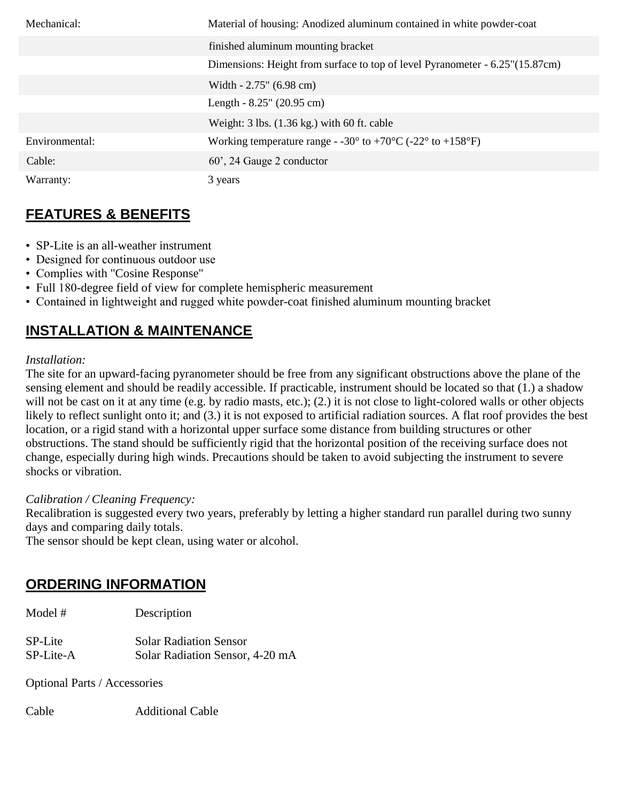| Mechanical:    | Material of housing: Anodized aluminum contained in white powder-coat                                |
|----------------|------------------------------------------------------------------------------------------------------|
|                | finished aluminum mounting bracket                                                                   |
|                | Dimensions: Height from surface to top of level Pyranometer - 6.25"(15.87cm)                         |
|                | Width $-2.75$ " (6.98 cm)                                                                            |
|                | Length $-8.25$ " (20.95 cm)                                                                          |
|                | Weight: $3 \text{ lbs.} (1.36 \text{ kg.})$ with $60 \text{ ft. cable}$                              |
| Environmental: | Working temperature range - -30 $^{\circ}$ to +70 $^{\circ}$ C (-22 $^{\circ}$ to +158 $^{\circ}$ F) |
| Cable:         | 60', 24 Gauge 2 conductor                                                                            |
| Warranty:      | 3 years                                                                                              |

- SP-Lite is an all-weather instrument
- Designed for continuous outdoor use
- Complies with "Cosine Response"
- Full 180-degree field of view for complete hemispheric measurement
- Contained in lightweight and rugged white powder-coat finished aluminum mounting bracket

### **INSTALLATION & MAINTENANCE**

#### *Installation:*

The site for an upward-facing pyranometer should be free from any significant obstructions above the plane of the sensing element and should be readily accessible. If practicable, instrument should be located so that (1.) a shadow will not be cast on it at any time (e.g. by radio masts, etc.); (2.) it is not close to light-colored walls or other objects likely to reflect sunlight onto it; and (3.) it is not exposed to artificial radiation sources. A flat roof provides the best location, or a rigid stand with a horizontal upper surface some distance from building structures or other obstructions. The stand should be sufficiently rigid that the horizontal position of the receiving surface does not change, especially during high winds. Precautions should be taken to avoid subjecting the instrument to severe shocks or vibration.

#### *Calibration / Cleaning Frequency:*

Recalibration is suggested every two years, preferably by letting a higher standard run parallel during two sunny days and comparing daily totals.

The sensor should be kept clean, using water or alcohol.

#### **ORDERING INFORMATION**

| Model #   | Description                     |
|-----------|---------------------------------|
| SP-Lite   | <b>Solar Radiation Sensor</b>   |
| SP-Lite-A | Solar Radiation Sensor, 4-20 mA |

Optional Parts / Accessories

Cable Additional Cable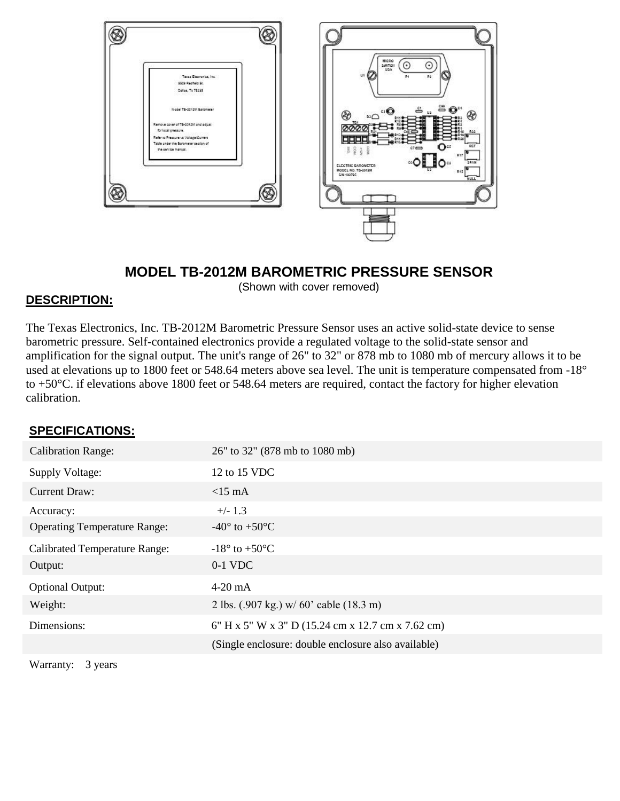

### **MODEL TB-2012M BAROMETRIC PRESSURE SENSOR**

(Shown with cover removed)

#### **DESCRIPTION:**

The Texas Electronics, Inc. TB-2012M Barometric Pressure Sensor uses an active solid-state device to sense barometric pressure. Self-contained electronics provide a regulated voltage to the solid-state sensor and amplification for the signal output. The unit's range of 26" to 32" or 878 mb to 1080 mb of mercury allows it to be used at elevations up to 1800 feet or 548.64 meters above sea level. The unit is temperature compensated from -18° to +50°C. if elevations above 1800 feet or 548.64 meters are required, contact the factory for higher elevation calibration.

#### **SPECIFICATIONS:**

| 26" to 32" (878 mb to 1080 mb)                      |
|-----------------------------------------------------|
| 12 to 15 VDC                                        |
| $<15$ mA                                            |
| $+/- 1.3$                                           |
| $-40^{\circ}$ to $+50^{\circ}$ C                    |
| $-18^\circ$ to $+50^\circ$ C                        |
| $0-1$ VDC                                           |
| $4-20$ mA                                           |
| 2 lbs. (.907 kg.) w/ 60' cable (18.3 m)             |
| 6" H x 5" W x 3" D (15.24 cm x 12.7 cm x 7.62 cm)   |
| (Single enclosure: double enclosure also available) |
|                                                     |

Warranty: 3 years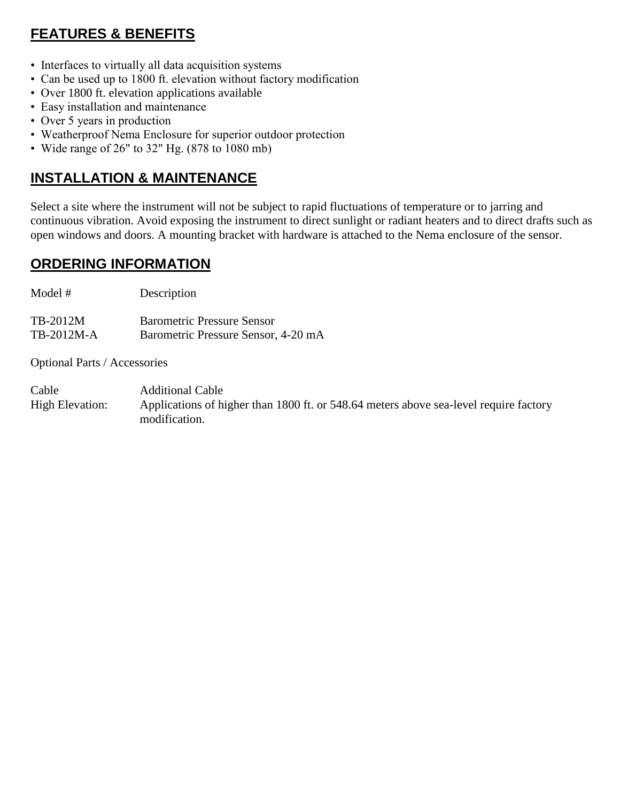- Interfaces to virtually all data acquisition systems
- Can be used up to 1800 ft. elevation without factory modification
- Over 1800 ft. elevation applications available
- Easy installation and maintenance
- Over 5 years in production
- Weatherproof Nema Enclosure for superior outdoor protection
- Wide range of 26" to 32" Hg. (878 to 1080 mb)

### **INSTALLATION & MAINTENANCE**

Select a site where the instrument will not be subject to rapid fluctuations of temperature or to jarring and continuous vibration. Avoid exposing the instrument to direct sunlight or radiant heaters and to direct drafts such as open windows and doors. A mounting bracket with hardware is attached to the Nema enclosure of the sensor.

### **ORDERING INFORMATION**

Model # Description

TB-2012M Barometric Pressure Sensor TB-2012M-A Barometric Pressure Sensor, 4-20 mA

Optional Parts / Accessories

Cable Additional Cable High Elevation: Applications of higher than 1800 ft. or 548.64 meters above sea-level require factory modification.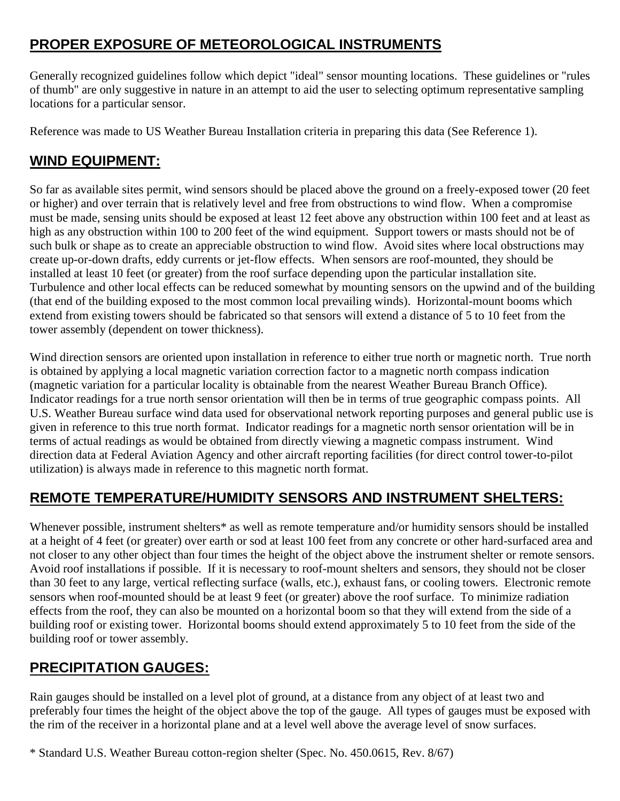# **PROPER EXPOSURE OF METEOROLOGICAL INSTRUMENTS**

Generally recognized guidelines follow which depict "ideal" sensor mounting locations. These guidelines or "rules of thumb" are only suggestive in nature in an attempt to aid the user to selecting optimum representative sampling locations for a particular sensor.

Reference was made to US Weather Bureau Installation criteria in preparing this data (See Reference 1).

### **WIND EQUIPMENT:**

So far as available sites permit, wind sensors should be placed above the ground on a freely-exposed tower (20 feet or higher) and over terrain that is relatively level and free from obstructions to wind flow. When a compromise must be made, sensing units should be exposed at least 12 feet above any obstruction within 100 feet and at least as high as any obstruction within 100 to 200 feet of the wind equipment. Support towers or masts should not be of such bulk or shape as to create an appreciable obstruction to wind flow. Avoid sites where local obstructions may create up-or-down drafts, eddy currents or jet-flow effects. When sensors are roof-mounted, they should be installed at least 10 feet (or greater) from the roof surface depending upon the particular installation site. Turbulence and other local effects can be reduced somewhat by mounting sensors on the upwind and of the building (that end of the building exposed to the most common local prevailing winds). Horizontal-mount booms which extend from existing towers should be fabricated so that sensors will extend a distance of 5 to 10 feet from the tower assembly (dependent on tower thickness).

Wind direction sensors are oriented upon installation in reference to either true north or magnetic north. True north is obtained by applying a local magnetic variation correction factor to a magnetic north compass indication (magnetic variation for a particular locality is obtainable from the nearest Weather Bureau Branch Office). Indicator readings for a true north sensor orientation will then be in terms of true geographic compass points. All U.S. Weather Bureau surface wind data used for observational network reporting purposes and general public use is given in reference to this true north format. Indicator readings for a magnetic north sensor orientation will be in terms of actual readings as would be obtained from directly viewing a magnetic compass instrument. Wind direction data at Federal Aviation Agency and other aircraft reporting facilities (for direct control tower-to-pilot utilization) is always made in reference to this magnetic north format.

### **REMOTE TEMPERATURE/HUMIDITY SENSORS AND INSTRUMENT SHELTERS:**

Whenever possible, instrument shelters\* as well as remote temperature and/or humidity sensors should be installed at a height of 4 feet (or greater) over earth or sod at least 100 feet from any concrete or other hard-surfaced area and not closer to any other object than four times the height of the object above the instrument shelter or remote sensors. Avoid roof installations if possible. If it is necessary to roof-mount shelters and sensors, they should not be closer than 30 feet to any large, vertical reflecting surface (walls, etc.), exhaust fans, or cooling towers. Electronic remote sensors when roof-mounted should be at least 9 feet (or greater) above the roof surface. To minimize radiation effects from the roof, they can also be mounted on a horizontal boom so that they will extend from the side of a building roof or existing tower. Horizontal booms should extend approximately 5 to 10 feet from the side of the building roof or tower assembly.

### **PRECIPITATION GAUGES:**

Rain gauges should be installed on a level plot of ground, at a distance from any object of at least two and preferably four times the height of the object above the top of the gauge. All types of gauges must be exposed with the rim of the receiver in a horizontal plane and at a level well above the average level of snow surfaces.

\* Standard U.S. Weather Bureau cotton-region shelter (Spec. No. 450.0615, Rev. 8/67)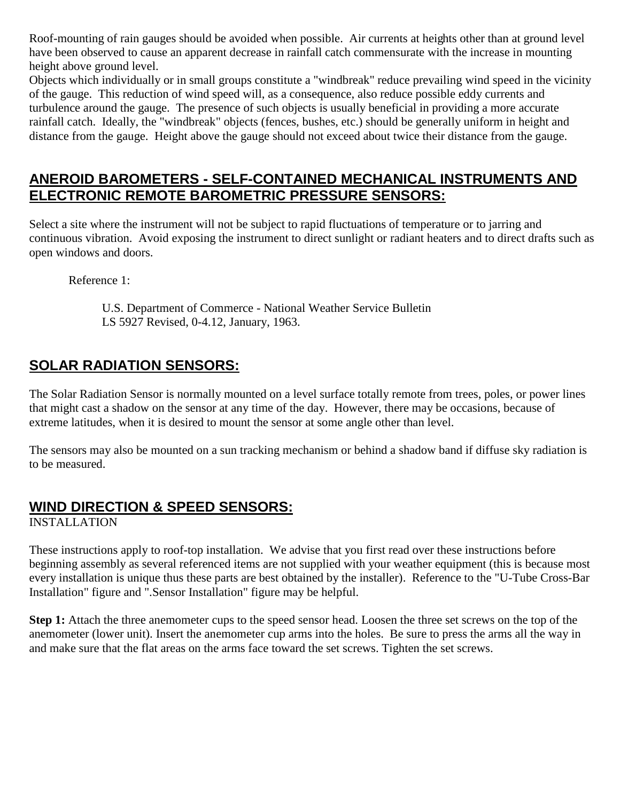Roof-mounting of rain gauges should be avoided when possible. Air currents at heights other than at ground level have been observed to cause an apparent decrease in rainfall catch commensurate with the increase in mounting height above ground level.

Objects which individually or in small groups constitute a "windbreak" reduce prevailing wind speed in the vicinity of the gauge. This reduction of wind speed will, as a consequence, also reduce possible eddy currents and turbulence around the gauge. The presence of such objects is usually beneficial in providing a more accurate rainfall catch. Ideally, the "windbreak" objects (fences, bushes, etc.) should be generally uniform in height and distance from the gauge. Height above the gauge should not exceed about twice their distance from the gauge.

### **ANEROID BAROMETERS - SELF-CONTAINED MECHANICAL INSTRUMENTS AND ELECTRONIC REMOTE BAROMETRIC PRESSURE SENSORS:**

Select a site where the instrument will not be subject to rapid fluctuations of temperature or to jarring and continuous vibration. Avoid exposing the instrument to direct sunlight or radiant heaters and to direct drafts such as open windows and doors.

Reference 1:

 U.S. Department of Commerce - National Weather Service Bulletin LS 5927 Revised, 0-4.12, January, 1963.

### **SOLAR RADIATION SENSORS:**

The Solar Radiation Sensor is normally mounted on a level surface totally remote from trees, poles, or power lines that might cast a shadow on the sensor at any time of the day. However, there may be occasions, because of extreme latitudes, when it is desired to mount the sensor at some angle other than level.

The sensors may also be mounted on a sun tracking mechanism or behind a shadow band if diffuse sky radiation is to be measured.

### **WIND DIRECTION & SPEED SENSORS:**

INSTALLATION

These instructions apply to roof-top installation. We advise that you first read over these instructions before beginning assembly as several referenced items are not supplied with your weather equipment (this is because most every installation is unique thus these parts are best obtained by the installer). Reference to the "U-Tube Cross-Bar Installation" figure and ".Sensor Installation" figure may be helpful.

**Step 1:** Attach the three anemometer cups to the speed sensor head. Loosen the three set screws on the top of the anemometer (lower unit). Insert the anemometer cup arms into the holes. Be sure to press the arms all the way in and make sure that the flat areas on the arms face toward the set screws. Tighten the set screws.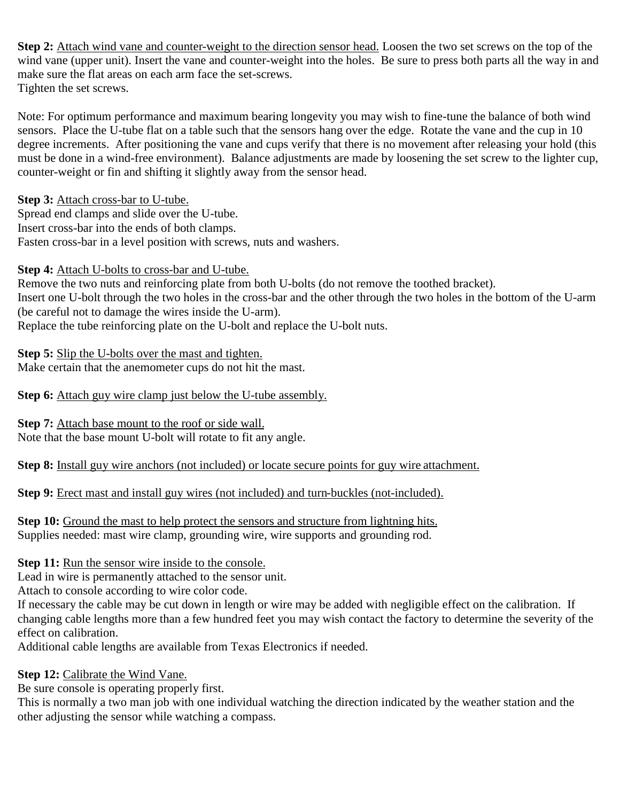**Step 2:** Attach wind vane and counter-weight to the direction sensor head. Loosen the two set screws on the top of the wind vane (upper unit). Insert the vane and counter-weight into the holes. Be sure to press both parts all the way in and make sure the flat areas on each arm face the set-screws. Tighten the set screws.

Note: For optimum performance and maximum bearing longevity you may wish to fine-tune the balance of both wind sensors. Place the U-tube flat on a table such that the sensors hang over the edge. Rotate the vane and the cup in 10 degree increments. After positioning the vane and cups verify that there is no movement after releasing your hold (this must be done in a wind-free environment). Balance adjustments are made by loosening the set screw to the lighter cup, counter-weight or fin and shifting it slightly away from the sensor head.

**Step 3:** Attach cross-bar to U-tube.

Spread end clamps and slide over the U-tube. Insert cross-bar into the ends of both clamps. Fasten cross-bar in a level position with screws, nuts and washers.

**Step 4:** Attach U-bolts to cross-bar and U-tube.

Remove the two nuts and reinforcing plate from both U-bolts (do not remove the toothed bracket). Insert one U-bolt through the two holes in the cross-bar and the other through the two holes in the bottom of the U-arm (be careful not to damage the wires inside the U-arm). Replace the tube reinforcing plate on the U-bolt and replace the U-bolt nuts.

**Step 5:** Slip the U-bolts over the mast and tighten. Make certain that the anemometer cups do not hit the mast.

**Step 6:** Attach guy wire clamp just below the U-tube assembly.

**Step 7:** Attach base mount to the roof or side wall. Note that the base mount U-bolt will rotate to fit any angle.

**Step 8:** Install guy wire anchors (not included) or locate secure points for guy wire attachment.

**Step 9:** Erect mast and install guy wires (not included) and turn-buckles (not-included).

**Step 10:** Ground the mast to help protect the sensors and structure from lightning hits. Supplies needed: mast wire clamp, grounding wire, wire supports and grounding rod.

#### **Step 11:** Run the sensor wire inside to the console.

Lead in wire is permanently attached to the sensor unit.

Attach to console according to wire color code.

If necessary the cable may be cut down in length or wire may be added with negligible effect on the calibration. If changing cable lengths more than a few hundred feet you may wish contact the factory to determine the severity of the effect on calibration.

Additional cable lengths are available from Texas Electronics if needed.

#### **Step 12:** Calibrate the Wind Vane.

Be sure console is operating properly first.

This is normally a two man job with one individual watching the direction indicated by the weather station and the other adjusting the sensor while watching a compass.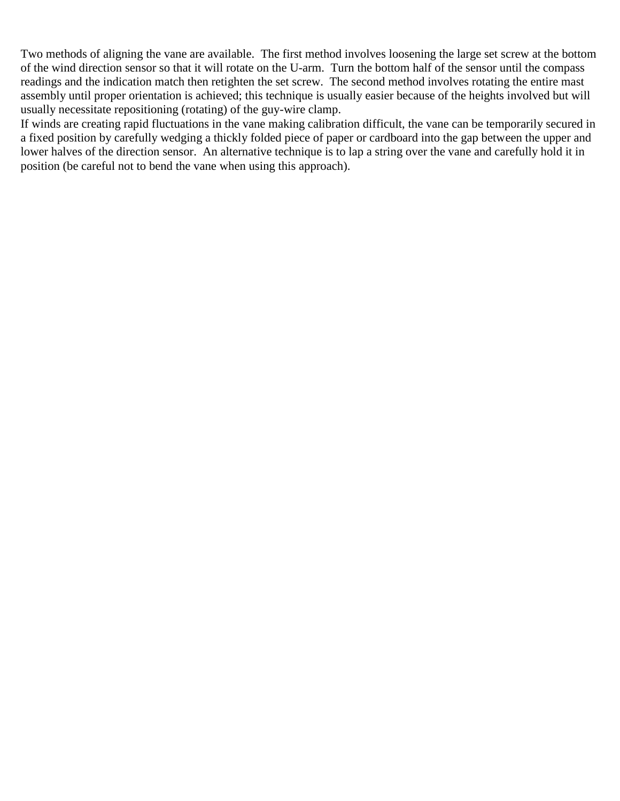Two methods of aligning the vane are available. The first method involves loosening the large set screw at the bottom of the wind direction sensor so that it will rotate on the U-arm. Turn the bottom half of the sensor until the compass readings and the indication match then retighten the set screw. The second method involves rotating the entire mast assembly until proper orientation is achieved; this technique is usually easier because of the heights involved but will usually necessitate repositioning (rotating) of the guy-wire clamp.

If winds are creating rapid fluctuations in the vane making calibration difficult, the vane can be temporarily secured in a fixed position by carefully wedging a thickly folded piece of paper or cardboard into the gap between the upper and lower halves of the direction sensor. An alternative technique is to lap a string over the vane and carefully hold it in position (be careful not to bend the vane when using this approach).